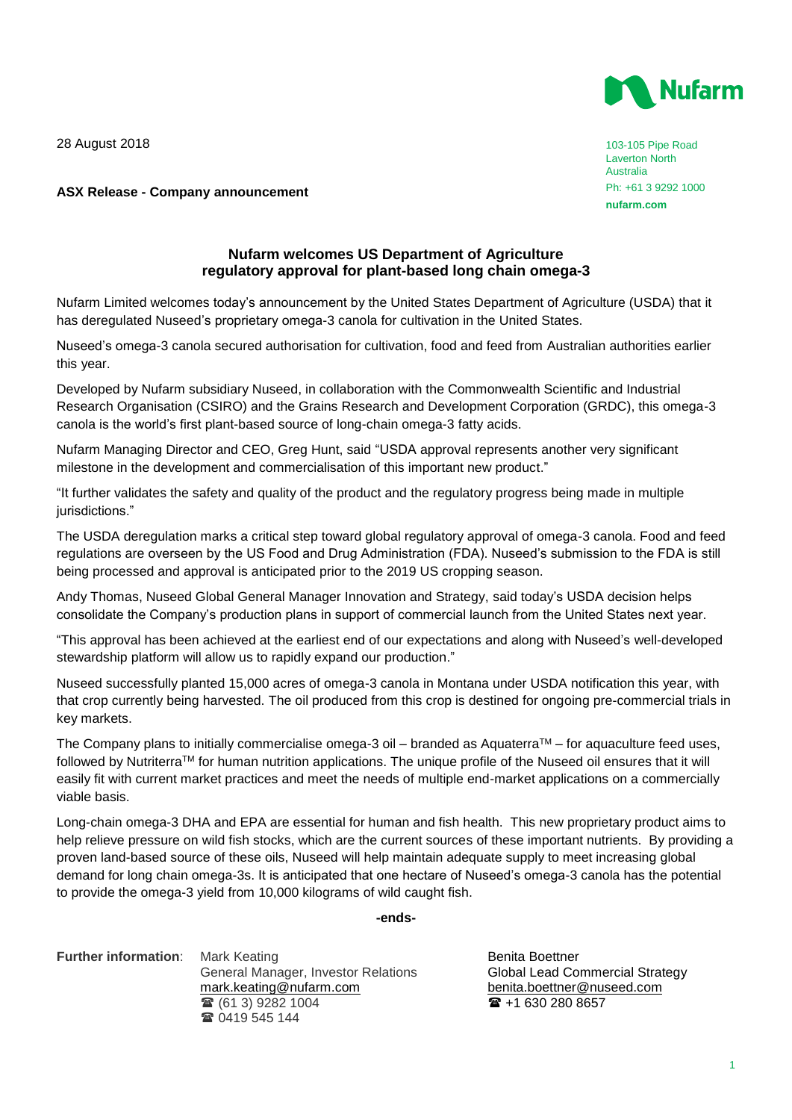28 August 2018



103-105 Pipe Road Laverton North Australia Ph: +61 3 9292 1000 **nufarm.com**

# **ASX Release - Company announcement**

# **Nufarm welcomes US Department of Agriculture regulatory approval for plant-based long chain omega-3**

Nufarm Limited welcomes today's announcement by the United States Department of Agriculture (USDA) that it has deregulated Nuseed's proprietary omega-3 canola for cultivation in the United States.

Nuseed's omega-3 canola secured authorisation for cultivation, food and feed from Australian authorities earlier this year.

Developed by Nufarm subsidiary Nuseed, in collaboration with the Commonwealth Scientific and Industrial Research Organisation (CSIRO) and the Grains Research and Development Corporation (GRDC), this omega-3 canola is the world's first plant-based source of long-chain omega-3 fatty acids.

Nufarm Managing Director and CEO, Greg Hunt, said "USDA approval represents another very significant milestone in the development and commercialisation of this important new product."

"It further validates the safety and quality of the product and the regulatory progress being made in multiple jurisdictions."

The USDA deregulation marks a critical step toward global regulatory approval of omega-3 canola. Food and feed regulations are overseen by the US Food and Drug Administration (FDA). Nuseed's submission to the FDA is still being processed and approval is anticipated prior to the 2019 US cropping season.

Andy Thomas, Nuseed Global General Manager Innovation and Strategy, said today's USDA decision helps consolidate the Company's production plans in support of commercial launch from the United States next year.

"This approval has been achieved at the earliest end of our expectations and along with Nuseed's well-developed stewardship platform will allow us to rapidly expand our production."

Nuseed successfully planted 15,000 acres of omega-3 canola in Montana under USDA notification this year, with that crop currently being harvested. The oil produced from this crop is destined for ongoing pre-commercial trials in key markets.

The Company plans to initially commercialise omega-3 oil – branded as Aquaterra<sup>TM</sup> – for aquaculture feed uses, followed by NutriterraTM for human nutrition applications. The unique profile of the Nuseed oil ensures that it will easily fit with current market practices and meet the needs of multiple end-market applications on a commercially viable basis.

Long-chain omega-3 DHA and EPA are essential for human and fish health. This new proprietary product aims to help relieve pressure on wild fish stocks, which are the current sources of these important nutrients. By providing a proven land-based source of these oils, Nuseed will help maintain adequate supply to meet increasing global demand for long chain omega-3s. It is anticipated that one hectare of Nuseed's omega-3 canola has the potential to provide the omega-3 yield from 10,000 kilograms of wild caught fish.

### **-ends-**

**Further information:** Mark Keating **Benita Boettner** Benita Boettner

General Manager, Investor Relations Global Lead Commercial Strategy [mark.keating@nufarm.com](mailto:mark.keating@nufarm.com) [benita.boettner@nuseed.com](mailto:benita.boettner@nuseed.com)<br>
<sup>1</sup> (61 3) 9282 1004<br>
1 (61 3) 9282 1004  $\bullet$  (61 3) 9282 1004 ■ 0419 545 144